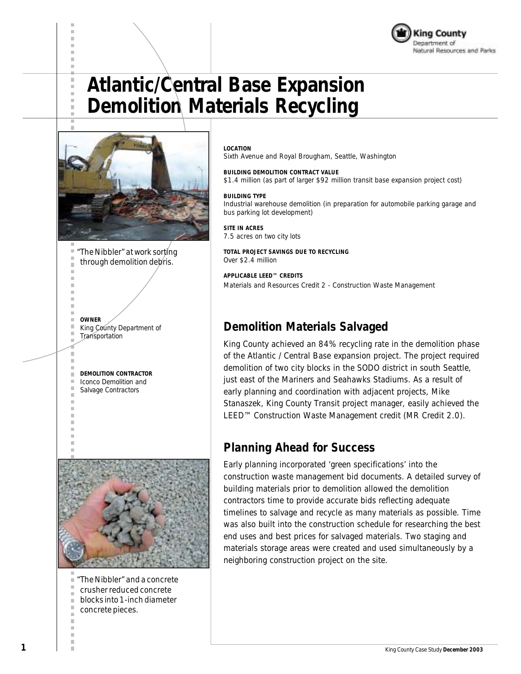



*"The Nibbler" at work sorting through demolition debris.*

*OWNER King County Department of Transportation*

*DEMOLITION CONTRACTOR Iconco Demolition and*

*Salvage Contractors*

m.



*"The Nibbler" and a concrete crusher reduced concrete blocks into 1-inch diameter concrete pieces.*

*LOCATION*

*Sixth Avenue and Royal Brougham, Seattle, Washington*

*BUILDING DEMOLITION CONTRACT VALUE \$1.4 million (as part of larger \$92 million transit base expansion project cost)*

#### *BUILDING TYPE*

*Industrial warehouse demolition (in preparation for automobile parking garage and bus parking lot development)*

*SITE IN ACRES 7.5 acres on two city lots*

*TOTAL PROJECT SAVINGS DUE TO RECYCLING Over \$2.4 million*

*APPLICABLE LEED™ CREDITS Materials and Resources Credit 2 - Construction Waste Management*

#### **Demolition Materials Salvaged**

King County achieved an 84% recycling rate in the demolition phase of the Atlantic / Central Base expansion project. The project required demolition of two city blocks in the SODO district in south Seattle, just east of the Mariners and Seahawks Stadiums. As a result of early planning and coordination with adjacent projects, Mike Stanaszek, King County Transit project manager, easily achieved the LEED™ Construction Waste Management credit (MR Credit 2.0).

#### **Planning Ahead for Success**

Early planning incorporated 'green specifications' into the construction waste management bid documents. A detailed survey of building materials prior to demolition allowed the demolition contractors time to provide accurate bids reflecting adequate timelines to salvage and recycle as many materials as possible. Time was also built into the construction schedule for researching the best end uses and best prices for salvaged materials. Two staging and materials storage areas were created and used simultaneously by a neighboring construction project on the site.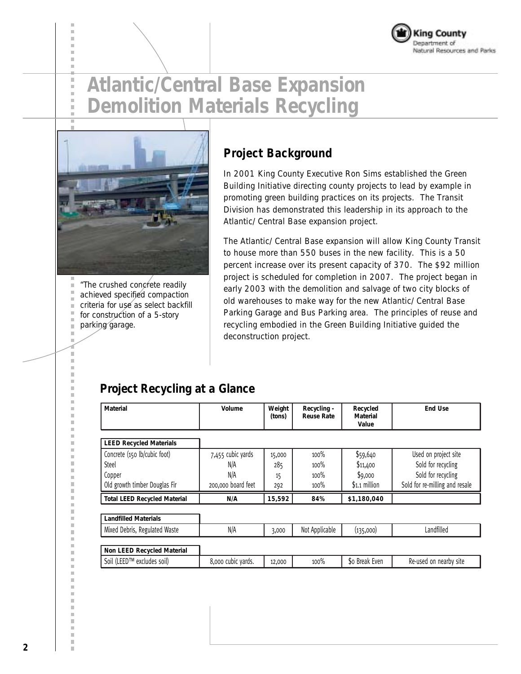



Î. Î.

> *"The crushed concrete readily achieved specified compaction criteria for use as select backfill for construction of a 5-story parking garage.*

### **Project Background**

In 2001 King County Executive Ron Sims established the Green Building Initiative directing county projects to lead by example in promoting green building practices on its projects. The Transit Division has demonstrated this leadership in its approach to the Atlantic/ Central Base expansion project.

The Atlantic/ Central Base expansion will allow King County Transit to house more than 550 buses in the new facility. This is a 50 percent increase over its present capacity of 370. The \$92 million project is scheduled for completion in 2007. The project began in early 2003 with the demolition and salvage of two city blocks of old warehouses to make way for the new Atlantic/ Central Base Parking Garage and Bus Parking area. The principles of reuse and recycling embodied in the Green Building Initiative guided the deconstruction project.

### **Project Recycling at a Glance**

| <b>Material</b>                     | Volume             | Weight<br>(tons) | Recycling -<br><b>Reuse Rate</b> | Recycled<br>Material<br>Value | <b>End Use</b>                 |
|-------------------------------------|--------------------|------------------|----------------------------------|-------------------------------|--------------------------------|
| <b>LEED Recycled Materials</b>      |                    |                  |                                  |                               |                                |
| Concrete (150 lb/cubic foot)        | 7,455 cubic yards  | 15,000           | 100%                             | \$59,640                      | Used on project site           |
| Steel                               | N/A                | 285              | 100%                             | \$11,400                      | Sold for recycling             |
| Copper                              | N/A                | 15               | 100%                             | \$9,000                       | Sold for recycling             |
| Old growth timber Douglas Fir       | 200,000 board feet | 292              | $100\%$                          | $$1.1$ million                | Sold for re-milling and resale |
| <b>Total LEED Recycled Material</b> | N/A                | 15,592           | 84%                              | \$1,180,040                   |                                |
| <b>Landfilled Materials</b>         |                    |                  |                                  |                               |                                |
| Mixed Debris, Regulated Waste       | N/A                | 3,000            | Not Applicable                   | (135,000)                     | Landfilled                     |
|                                     |                    |                  |                                  |                               |                                |
| Non LEED Recycled Material          |                    |                  |                                  |                               |                                |
| Soil (LEED™ excludes soil)          | 8,000 cubic yards. | 12,000           | 100%                             | \$o Break Even                | Re-used on nearby site         |

m.

Ì. i. D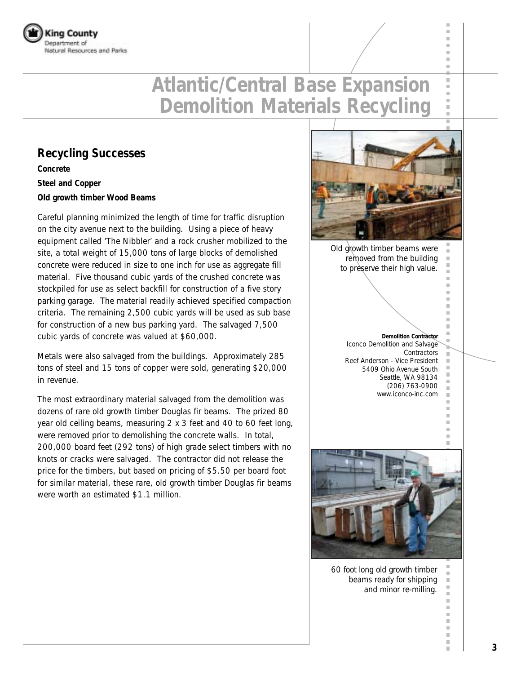

#### **Recycling Successes**

**Concrete**

**Steel and Copper**

**Old growth timber Wood Beams**

Careful planning minimized the length of time for traffic disruption on the city avenue next to the building. Using a piece of heavy equipment called 'The Nibbler' and a rock crusher mobilized to the site, a total weight of 15,000 tons of large blocks of demolished concrete were reduced in size to one inch for use as aggregate fill material. Five thousand cubic yards of the crushed concrete was stockpiled for use as select backfill for construction of a five story parking garage. The material readily achieved specified compaction criteria. The remaining 2,500 cubic yards will be used as sub base for construction of a new bus parking yard. The salvaged 7,500 cubic yards of concrete was valued at \$60,000.

Metals were also salvaged from the buildings. Approximately 285 tons of steel and 15 tons of copper were sold, generating \$20,000 in revenue.

The most extraordinary material salvaged from the demolition was dozens of rare old growth timber Douglas fir beams. The prized 80 year old ceiling beams, measuring 2 x 3 feet and 40 to 60 feet long, were removed prior to demolishing the concrete walls. In total, 200,000 board feet (292 tons) of high grade select timbers with no knots or cracks were salvaged. The contractor did not release the price for the timbers, but based on pricing of \$5.50 per board foot for similar material, these rare, old growth timber Douglas fir beams were worth an estimated \$1.1 million.



п

×

ш m.  $\mathbb{R}^d$ 

п п п

 $\mathbb{R}^d$ 

ш  $\mathbb{R}^d$  $\mathbb{R}^d$ ш  $\bar{\alpha}$  $\overline{\phantom{a}}$ I.

*Old growth timber beams were removed from the building to preserve their high value.*

> *Demolition Contractor Iconco Demolition and Salvage Contractors Reef Anderson - Vice President 5409 Ohio Avenue South Seattle, WA 98134 (206) 763-0900 www.iconco-inc.com*



*60 foot long old growth timber beams ready for shipping and minor re-milling.*